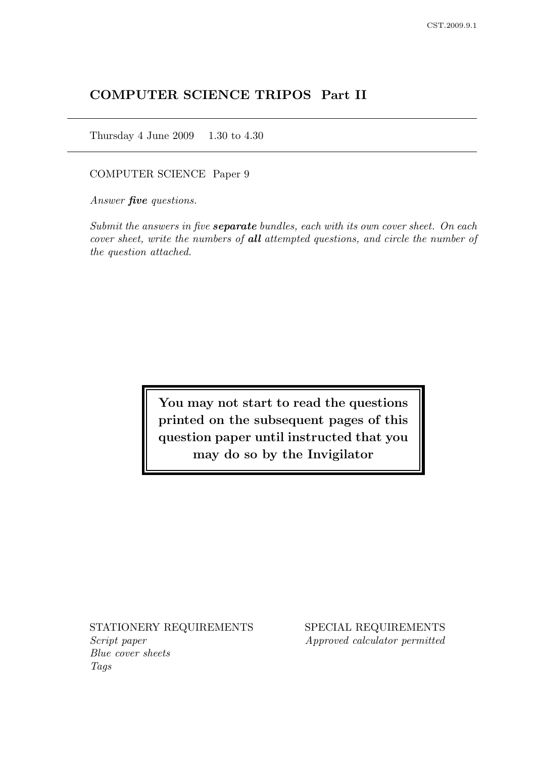# COMPUTER SCIENCE TRIPOS Part II

Thursday 4 June 2009 1.30 to 4.30

COMPUTER SCIENCE Paper 9

Answer **five** questions.

Submit the answers in five **separate** bundles, each with its own cover sheet. On each cover sheet, write the numbers of all attempted questions, and circle the number of the question attached.

> You may not start to read the questions printed on the subsequent pages of this question paper until instructed that you may do so by the Invigilator

STATIONERY REQUIREMENTS SPECIAL REQUIREMENTS Script paper Approved calculator permitted Blue cover sheets Tags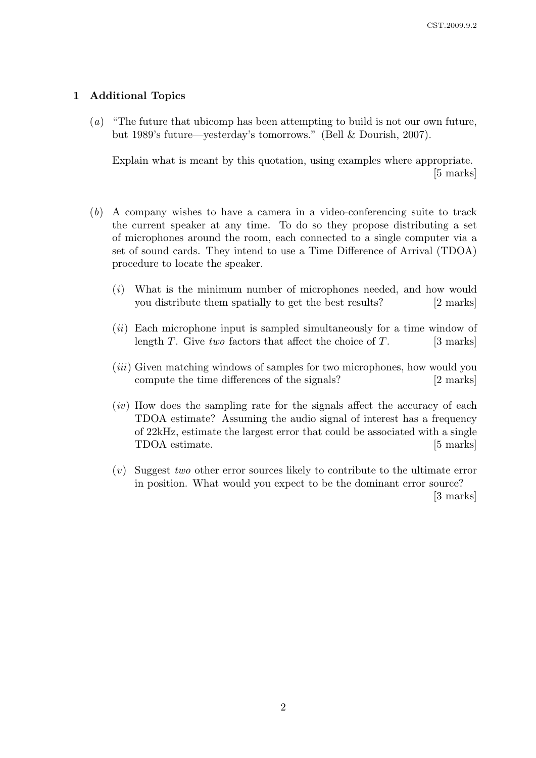# 1 Additional Topics

(a) "The future that ubicomp has been attempting to build is not our own future, but 1989's future—yesterday's tomorrows." (Bell & Dourish, 2007).

Explain what is meant by this quotation, using examples where appropriate. [5 marks]

- (b) A company wishes to have a camera in a video-conferencing suite to track the current speaker at any time. To do so they propose distributing a set of microphones around the room, each connected to a single computer via a set of sound cards. They intend to use a Time Difference of Arrival (TDOA) procedure to locate the speaker.
	- (i) What is the minimum number of microphones needed, and how would you distribute them spatially to get the best results? [2 marks]
	- (*ii*) Each microphone input is sampled simultaneously for a time window of length T. Give two factors that affect the choice of T. [3 marks]
	- (*iii*) Given matching windows of samples for two microphones, how would you compute the time differences of the signals? [2 marks]
	- $(iv)$  How does the sampling rate for the signals affect the accuracy of each TDOA estimate? Assuming the audio signal of interest has a frequency of 22kHz, estimate the largest error that could be associated with a single TDOA estimate. [5 marks]
	- (v) Suggest two other error sources likely to contribute to the ultimate error in position. What would you expect to be the dominant error source? [3 marks]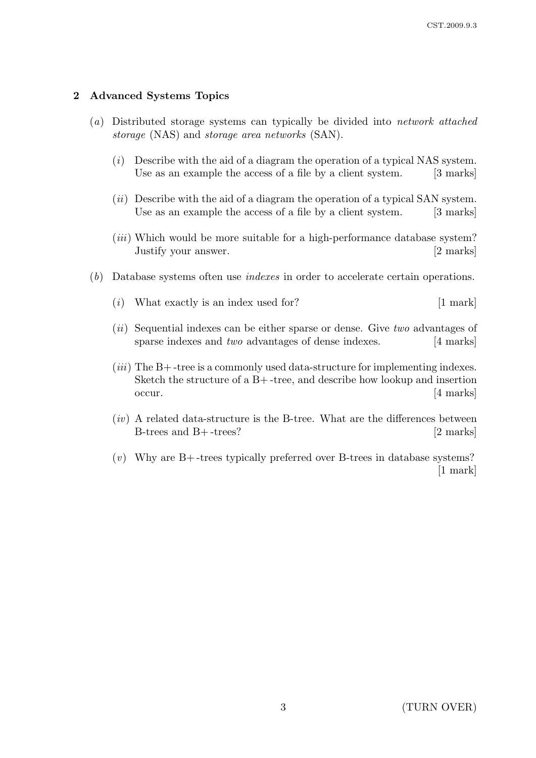# 2 Advanced Systems Topics

- (a) Distributed storage systems can typically be divided into network attached storage (NAS) and storage area networks (SAN).
	- $(i)$  Describe with the aid of a diagram the operation of a typical NAS system. Use as an example the access of a file by a client system. [3 marks]
	- $(ii)$  Describe with the aid of a diagram the operation of a typical SAN system. Use as an example the access of a file by a client system. [3 marks]
	- (*iii*) Which would be more suitable for a high-performance database system? Justify your answer. [2 marks]
- (b) Database systems often use indexes in order to accelerate certain operations.
	- $(i)$  What exactly is an index used for? [1 mark]
	- (*ii*) Sequential indexes can be either sparse or dense. Give two advantages of sparse indexes and *two* advantages of dense indexes. [4 marks]
	- $(iii)$  The B+-tree is a commonly used data-structure for implementing indexes. Sketch the structure of a B+ -tree, and describe how lookup and insertion occur. [4 marks]
	- $(iv)$  A related data-structure is the B-tree. What are the differences between B-trees and B+-trees?  $[2 \text{ marks}]$
	- $(v)$  Why are B+-trees typically preferred over B-trees in database systems? [1 mark]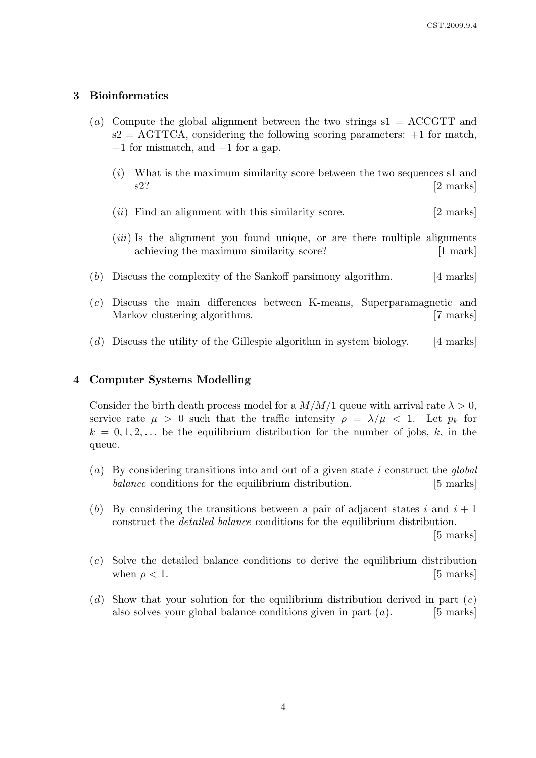#### 3 Bioinformatics

- (a) Compute the global alignment between the two strings  $s1 = ACCGTT$  and  $s2 = \text{AGTTCA}$ , considering the following scoring parameters:  $+1$  for match, −1 for mismatch, and −1 for a gap.
	- $(i)$  What is the maximum similarity score between the two sequences s1 and s2? [2 marks]
	- $(ii)$  Find an alignment with this similarity score. [2 marks]
	- (*iii*) Is the alignment you found unique, or are there multiple alignments achieving the maximum similarity score? [1 mark]
- (b) Discuss the complexity of the Sankoff parsimony algorithm. [4 marks]
- (c) Discuss the main differences between K-means, Superparamagnetic and Markov clustering algorithms. [7 marks]
- (d) Discuss the utility of the Gillespie algorithm in system biology. [4 marks]

# 4 Computer Systems Modelling

Consider the birth death process model for a  $M/M/1$  queue with arrival rate  $\lambda > 0$ , service rate  $\mu > 0$  such that the traffic intensity  $\rho = \lambda/\mu < 1$ . Let  $p_k$  for  $k = 0, 1, 2, \ldots$  be the equilibrium distribution for the number of jobs, k, in the queue.

- (a) By considering transitions into and out of a given state i construct the *qlobal* balance conditions for the equilibrium distribution. [5 marks]
- (b) By considering the transitions between a pair of adjacent states i and  $i + 1$ construct the detailed balance conditions for the equilibrium distribution. [5 marks]
- (c) Solve the detailed balance conditions to derive the equilibrium distribution when  $\rho < 1$ . [5 marks]
- (d) Show that your solution for the equilibrium distribution derived in part  $(c)$ also solves your global balance conditions given in part  $(a)$ . [5 marks]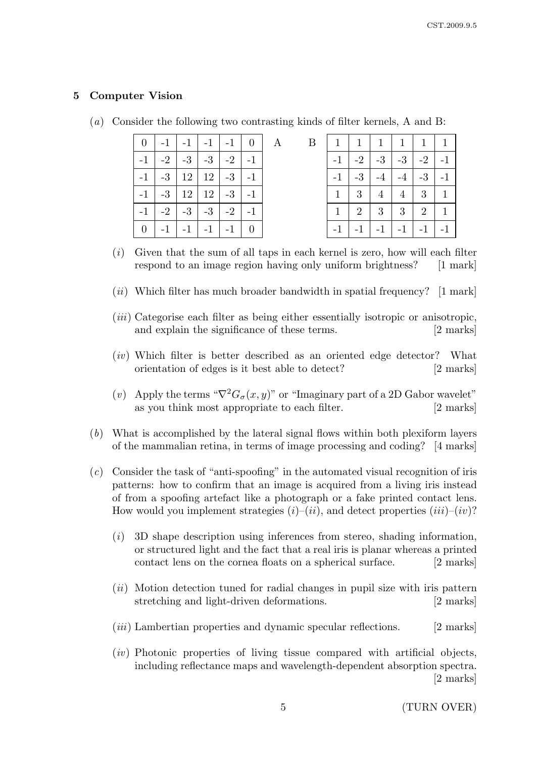# 5 Computer Vision

| $\overline{0}$ | $-1$ .       | $-1$               |                    | $-1$   $-1$           | 0 <sup>1</sup> | A | B |                    | 1              | $\mathbf{1}$ | $\mathbf{1}$   | $\mathbf{1}$          | 1            |
|----------------|--------------|--------------------|--------------------|-----------------------|----------------|---|---|--------------------|----------------|--------------|----------------|-----------------------|--------------|
| $-1$           |              | $-2$   $-3$        | $(-3)$             | $-2$ $-1$             |                |   |   | $-1$               |                | $-2$   $-3$  | $-3$           | $\vert$ -2 $\vert$ -1 |              |
| $-1$           | $-3 \mid 12$ |                    |                    | $12$   $-3$           | $-1$           |   |   | $\cdot$ -1 $\cdot$ | $-3$           | $-4$         | $-4$           | $-3$                  | $-1$         |
| $-1$           | $-3 \mid 12$ |                    |                    | $12$   $-3$           | $-1$           |   |   |                    | 3              | 4            | $\overline{4}$ | 3                     | $\mathbf{1}$ |
| $-1$           |              | $-2$   $-3$        | $(-3)^{\circ}$     | $\vert$ -2 $\vert$ -1 |                |   |   |                    | $\overline{2}$ | 3            | 3              | $\overline{2}$        | $\mathbf{1}$ |
| $\overline{0}$ | $-1$         | $\cdot$ -1 $\cdot$ | $\cdot$ -1 $\cdot$ | $-1$                  | -0             |   |   | $-1$               | $-1$           | $-1$         | $-1$           | $-1$                  | $-1$         |

(a) Consider the following two contrasting kinds of filter kernels, A and B:

- $(i)$  Given that the sum of all taps in each kernel is zero, how will each filter respond to an image region having only uniform brightness? [1 mark]
- (ii) Which filter has much broader bandwidth in spatial frequency?  $\left[1\right]$  mark
- (iii) Categorise each filter as being either essentially isotropic or anisotropic, and explain the significance of these terms. [2 marks]
- (iv) Which filter is better described as an oriented edge detector? What orientation of edges is it best able to detect? [2 marks]
- (v) Apply the terms " $\nabla^2 G_{\sigma}(x, y)$ " or "Imaginary part of a 2D Gabor wavelet" as you think most appropriate to each filter. [2 marks]
- (b) What is accomplished by the lateral signal flows within both plexiform layers of the mammalian retina, in terms of image processing and coding? [4 marks]
- $(c)$  Consider the task of "anti-spoofing" in the automated visual recognition of iris patterns: how to confirm that an image is acquired from a living iris instead of from a spoofing artefact like a photograph or a fake printed contact lens. How would you implement strategies  $(i)-(ii)$ , and detect properties  $(iii)-(iv)$ ?
	- $(i)$  3D shape description using inferences from stereo, shading information, or structured light and the fact that a real iris is planar whereas a printed contact lens on the cornea floats on a spherical surface. [2 marks]
	- $(ii)$  Motion detection tuned for radial changes in pupil size with iris pattern stretching and light-driven deformations. [2 marks]
	- $(iii)$  Lambertian properties and dynamic specular reflections. [2 marks]
	- $(iv)$  Photonic properties of living tissue compared with artificial objects. including reflectance maps and wavelength-dependent absorption spectra. [2 marks]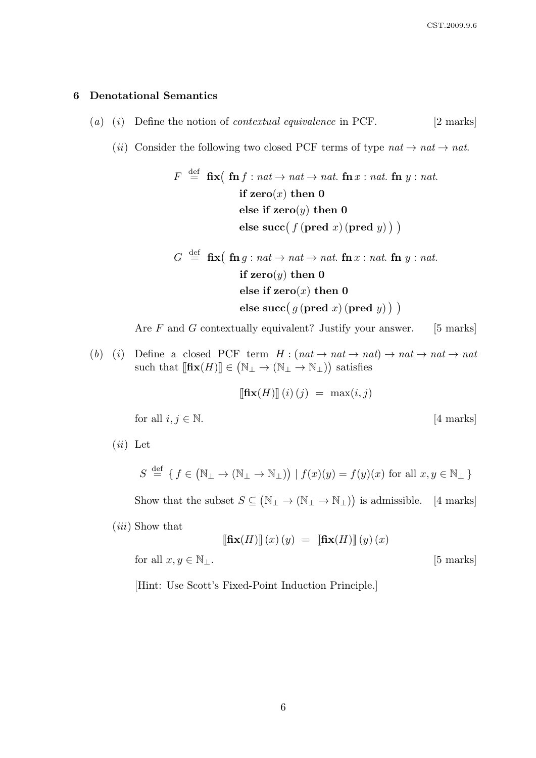#### 6 Denotational Semantics

- (a) (i) Define the notion of *contextual equivalence* in PCF.  $[2 \text{ marks}]$ 
	- (ii) Consider the following two closed PCF terms of type  $nat \rightarrow nat \rightarrow nat$ .

$$
F \stackrel{\text{def}}{=} \text{fix}(\text{fn } f : nat \to nat \to nat. \text{fn } x : nat. \text{fn } y : nat.
$$
\nif zero(x) then 0

\nelse if zero(y) then 0

\nelse succ( $f$ (pred  $x$ ) (pred  $y$ ))

$$
G \stackrel{\text{def}}{=} \text{fix} \big( \text{ fn } g : nat \to nat \to nat. \text{ fn } x : nat. \text{ fn } y : nat.
$$
\n
$$
\text{if } \text{zero}(y) \text{ then } 0
$$
\n
$$
\text{else if } \text{zero}(x) \text{ then } 0
$$
\n
$$
\text{else } \text{succ}(g \text{ (pred } x) \text{ (pred } y) \text{ ) }
$$

Are  $F$  and  $G$  contextually equivalent? Justify your answer. [5 marks]

(b) (i) Define a closed PCF term  $H : (nat \rightarrow nat \rightarrow nat \rightarrow nat \rightarrow nat \rightarrow nat$ such that  $[\mathbf{fix}(H)] \in (\mathbb{N}_{\perp} \to (\mathbb{N}_{\perp} \to \mathbb{N}_{\perp}))$  satisfies

$$
\llbracket \mathbf{fix}(H) \rrbracket(i) (j) = \max(i, j)
$$

for all  $i, j \in \mathbb{N}$ . [4 marks]

$$
S \stackrel{\text{def}}{=} \{ f \in (\mathbb{N}_{\perp} \to (\mathbb{N}_{\perp} \to \mathbb{N}_{\perp})) \mid f(x)(y) = f(y)(x) \text{ for all } x, y \in \mathbb{N}_{\perp} \}
$$

Show that the subset  $S \subseteq (\mathbb{N}_{\perp} \to (\mathbb{N}_{\perp} \to \mathbb{N}_{\perp}))$  is admissible. [4 marks]

(iii) Show that

 $(ii)$  Let

$$
\llbracket \mathbf{fix}(H) \rrbracket \, (x) \, (y) \ = \ \llbracket \mathbf{fix}(H) \rrbracket \, (y) \, (x)
$$

for all  $x, y \in \mathbb{N}_\perp$ . [5 marks]

[Hint: Use Scott's Fixed-Point Induction Principle.]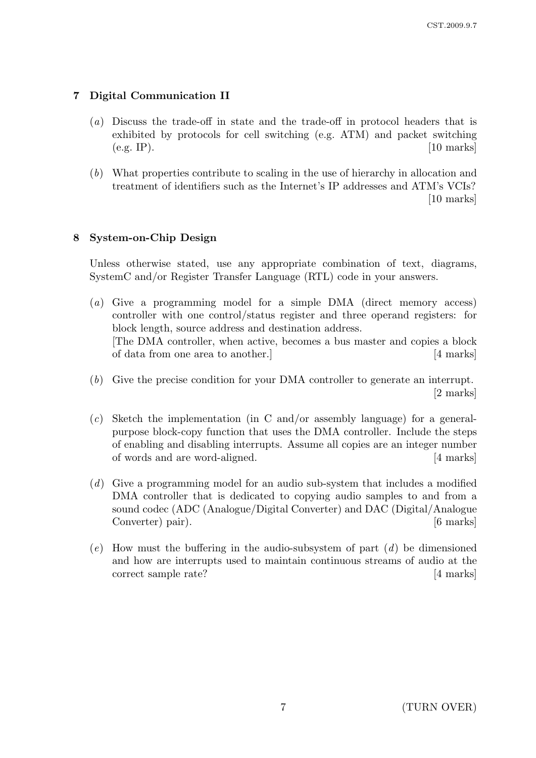# 7 Digital Communication II

- (a) Discuss the trade-off in state and the trade-off in protocol headers that is exhibited by protocols for cell switching (e.g. ATM) and packet switching  $(e.g. IP)$ . [10 marks]
- (b) What properties contribute to scaling in the use of hierarchy in allocation and treatment of identifiers such as the Internet's IP addresses and ATM's VCIs? [10 marks]

# 8 System-on-Chip Design

Unless otherwise stated, use any appropriate combination of text, diagrams, SystemC and/or Register Transfer Language (RTL) code in your answers.

- (a) Give a programming model for a simple DMA (direct memory access) controller with one control/status register and three operand registers: for block length, source address and destination address. [The DMA controller, when active, becomes a bus master and copies a block of data from one area to another.] [4 marks]
- (b) Give the precise condition for your DMA controller to generate an interrupt. [2 marks]
- $(c)$  Sketch the implementation (in C and/or assembly language) for a generalpurpose block-copy function that uses the DMA controller. Include the steps of enabling and disabling interrupts. Assume all copies are an integer number of words and are word-aligned. [4 marks]
- (d) Give a programming model for an audio sub-system that includes a modified DMA controller that is dedicated to copying audio samples to and from a sound codec (ADC (Analogue/Digital Converter) and DAC (Digital/Analogue Converter) pair). [6 marks]
- (e) How must the buffering in the audio-subsystem of part  $(d)$  be dimensioned and how are interrupts used to maintain continuous streams of audio at the correct sample rate? [4 marks]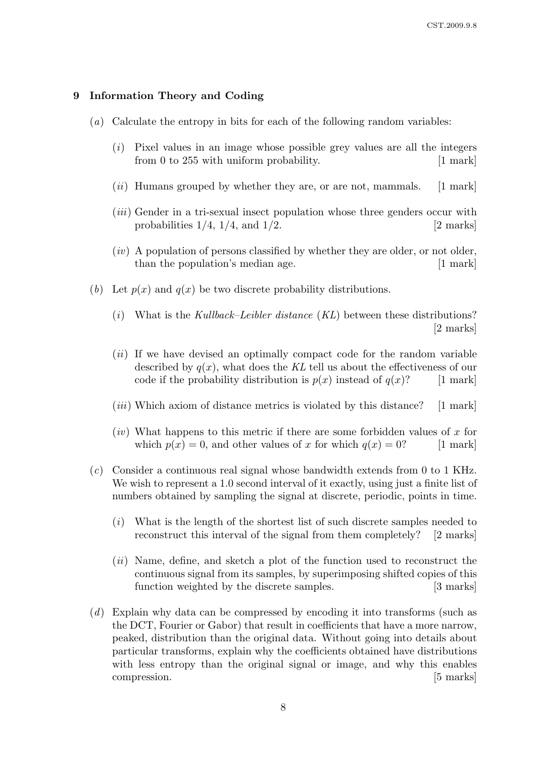#### 9 Information Theory and Coding

- (a) Calculate the entropy in bits for each of the following random variables:
	- (i) Pixel values in an image whose possible grey values are all the integers from 0 to 255 with uniform probability. [1 mark]
	- $(ii)$  Humans grouped by whether they are, or are not, mammals. [1 mark]
	- (iii) Gender in a tri-sexual insect population whose three genders occur with probabilities  $1/4$ ,  $1/4$ , and  $1/2$ . [2 marks]
	- $(iv)$  A population of persons classified by whether they are older, or not older, than the population's median age. [1 mark]
- (b) Let  $p(x)$  and  $q(x)$  be two discrete probability distributions.
	- (i) What is the Kullback–Leibler distance  $(KL)$  between these distributions? [2 marks]
	- $(ii)$  If we have devised an optimally compact code for the random variable described by  $q(x)$ , what does the KL tell us about the effectiveness of our code if the probability distribution is  $p(x)$  instead of  $q(x)$ ? [1 mark]
	- (*iii*) Which axiom of distance metrics is violated by this distance? [1 mark]
	- $(iv)$  What happens to this metric if there are some forbidden values of x for which  $p(x) = 0$ , and other values of x for which  $q(x) = 0$ ? [1 mark]
- (c) Consider a continuous real signal whose bandwidth extends from 0 to 1 KHz. We wish to represent a 1.0 second interval of it exactly, using just a finite list of numbers obtained by sampling the signal at discrete, periodic, points in time.
	- (i) What is the length of the shortest list of such discrete samples needed to reconstruct this interval of the signal from them completely? [2 marks]
	- (ii) Name, define, and sketch a plot of the function used to reconstruct the continuous signal from its samples, by superimposing shifted copies of this function weighted by the discrete samples. [3 marks]
- (d) Explain why data can be compressed by encoding it into transforms (such as the DCT, Fourier or Gabor) that result in coefficients that have a more narrow, peaked, distribution than the original data. Without going into details about particular transforms, explain why the coefficients obtained have distributions with less entropy than the original signal or image, and why this enables compression. [5] marks]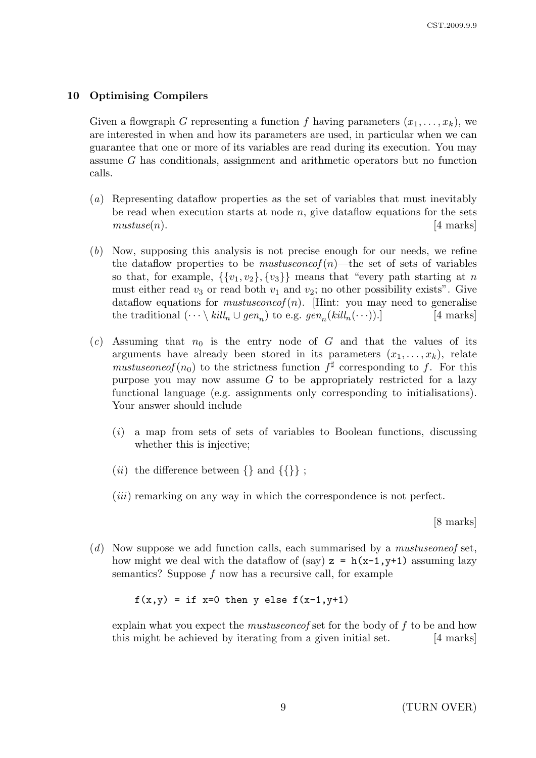# 10 Optimising Compilers

Given a flowgraph G representing a function f having parameters  $(x_1, \ldots, x_k)$ , we are interested in when and how its parameters are used, in particular when we can guarantee that one or more of its variables are read during its execution. You may assume G has conditionals, assignment and arithmetic operators but no function calls.

- (a) Representing dataflow properties as the set of variables that must inevitably be read when execution starts at node  $n$ , give dataflow equations for the sets  $mustuse(n).$  [4 marks]
- (b) Now, supposing this analysis is not precise enough for our needs, we refine the dataflow properties to be *mustuseoneof* (n)—the set of sets of variables so that, for example,  $\{\{v_1, v_2\}, \{v_3\}\}\$  means that "every path starting at n must either read  $v_3$  or read both  $v_1$  and  $v_2$ ; no other possibility exists". Give dataflow equations for *mustuseoneof*  $(n)$ . [Hint: you may need to generalise the traditional  $(\cdots \setminus kill_n \cup gen_n)$  to e.g.  $gen_n(kill_n(\cdots)).$  [4 marks]
- (c) Assuming that  $n_0$  is the entry node of G and that the values of its arguments have already been stored in its parameters  $(x_1, \ldots, x_k)$ , relate mustuseoneof  $(n_0)$  to the strictness function  $f^{\sharp}$  corresponding to f. For this purpose you may now assume  $G$  to be appropriately restricted for a lazy functional language (e.g. assignments only corresponding to initialisations). Your answer should include
	- $(i)$  a map from sets of sets of variables to Boolean functions, discussing whether this is injective;
	- $(ii)$  the difference between  $\{\}$  and  $\{\{\}\}$  ;
	- (*iii*) remarking on any way in which the correspondence is not perfect.

[8 marks]

(d) Now suppose we add function calls, each summarised by a mustuse one of set. how might we deal with the dataflow of (say)  $z = h(x-1, y+1)$  assuming lazy semantics? Suppose f now has a recursive call, for example

 $f(x,y) = if x=0 then y else f(x-1,y+1)$ 

explain what you expect the *mustuseoneof* set for the body of f to be and how this might be achieved by iterating from a given initial set. [4 marks]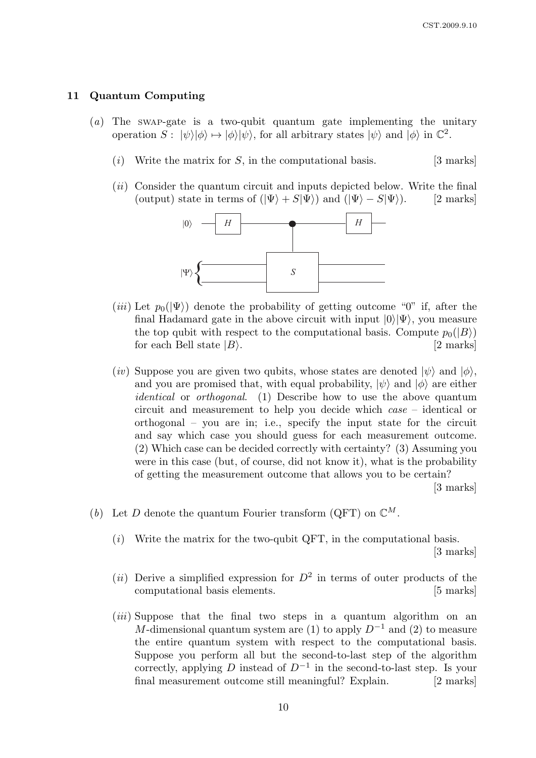#### 11 Quantum Computing

- (a) The SWAP-gate is a two-qubit quantum gate implementing the unitary operation  $S: |\psi\rangle |\phi\rangle \mapsto |\phi\rangle |\psi\rangle$ , for all arbitrary states  $|\psi\rangle$  and  $|\phi\rangle$  in  $\mathbb{C}^2$ .
	- (*i*) Write the matrix for S, in the computational basis. [3 marks]
	- $(ii)$  Consider the quantum circuit and inputs depicted below. Write the final (output) state in terms of  $(|\Psi\rangle + S|\Psi\rangle)$  and  $(|\Psi\rangle - S|\Psi\rangle)$ . [2 marks]



- (iii) Let  $p_0(|\Psi\rangle)$  denote the probability of getting outcome "0" if, after the final Hadamard gate in the above circuit with input  $|0\rangle|\Psi\rangle$ , you measure the top qubit with respect to the computational basis. Compute  $p_0(|B\rangle)$ for each Bell state  $|B\rangle$ . [2 marks]
- (iv) Suppose you are given two qubits, whose states are denoted  $|\psi\rangle$  and  $|\phi\rangle$ , and you are promised that, with equal probability,  $|\psi\rangle$  and  $|\phi\rangle$  are either identical or orthogonal. (1) Describe how to use the above quantum circuit and measurement to help you decide which case – identical or orthogonal – you are in; i.e., specify the input state for the circuit and say which case you should guess for each measurement outcome. (2) Which case can be decided correctly with certainty? (3) Assuming you were in this case (but, of course, did not know it), what is the probability of getting the measurement outcome that allows you to be certain?

[3 marks]

- (b) Let D denote the quantum Fourier transform (QFT) on  $\mathbb{C}^M$ .
	- $(i)$  Write the matrix for the two-qubit QFT, in the computational basis. [3 marks]
	- (*ii*) Derive a simplified expression for  $D^2$  in terms of outer products of the computational basis elements. [5 marks]
	- *(iii)* Suppose that the final two steps in a quantum algorithm on an M-dimensional quantum system are (1) to apply  $D^{-1}$  and (2) to measure the entire quantum system with respect to the computational basis. Suppose you perform all but the second-to-last step of the algorithm correctly, applying D instead of  $D^{-1}$  in the second-to-last step. Is your final measurement outcome still meaningful? Explain. [2 marks]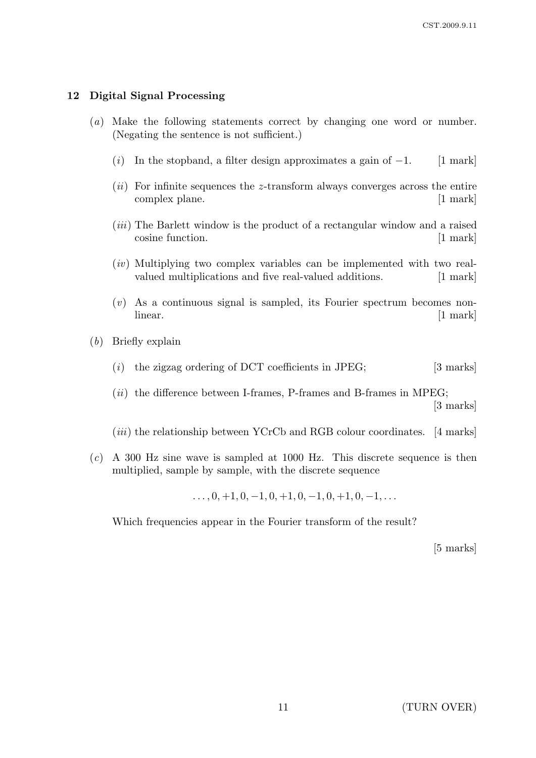# 12 Digital Signal Processing

- (a) Make the following statements correct by changing one word or number. (Negating the sentence is not sufficient.)
	- (i) In the stopband, a filter design approximates a gain of  $-1$ . [1 mark]
	- $(ii)$  For infinite sequences the z-transform always converges across the entire complex plane. [1 mark]
	- (iii) The Barlett window is the product of a rectangular window and a raised cosine function. [1 mark]
	- $(iv)$  Multiplying two complex variables can be implemented with two realvalued multiplications and five real-valued additions. [1 mark]
	- $(v)$  As a continuous signal is sampled, its Fourier spectrum becomes nonlinear. [1 mark]
- (b) Briefly explain
	- (i) the zigzag ordering of DCT coefficients in JPEG;  $[3 \text{ marks}]$
	- $(ii)$  the difference between I-frames, P-frames and B-frames in MPEG; [3 marks]
	- $(iii)$  the relationship between YCrCb and RGB colour coordinates. [4 marks]
- $(c)$  A 300 Hz sine wave is sampled at 1000 Hz. This discrete sequence is then multiplied, sample by sample, with the discrete sequence

 $\ldots$ , 0, +1, 0, -1, 0, +1, 0, -1, 0, +1, 0, -1,  $\ldots$ 

Which frequencies appear in the Fourier transform of the result?

[5 marks]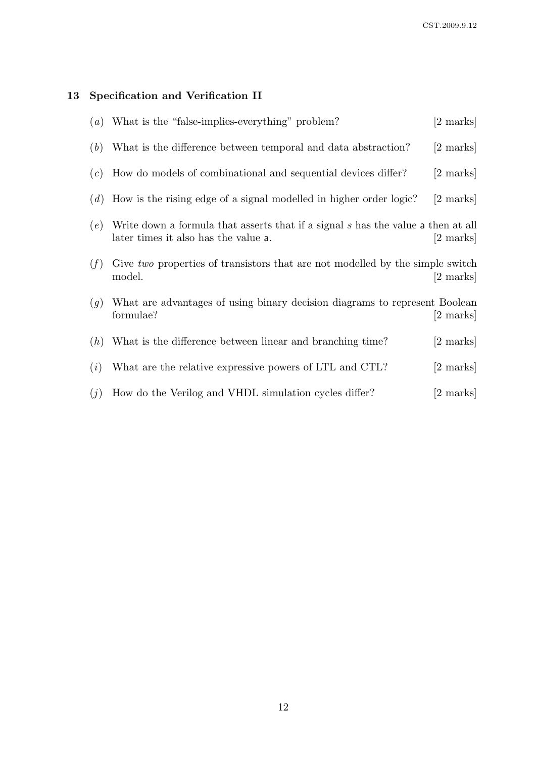# 13 Specification and Verification II

| $\left( a\right)$ | What is the "false-implies-everything" problem?                                                                          | [2 marks]           |
|-------------------|--------------------------------------------------------------------------------------------------------------------------|---------------------|
| (b)               | What is the difference between temporal and data abstraction?                                                            | [2 marks]           |
| (c)               | How do models of combinational and sequential devices differ?                                                            | [2 marks]           |
| (d)               | How is the rising edge of a signal modelled in higher order logic?                                                       | [2 marks]           |
| (e)               | Write down a formula that asserts that if a signal s has the value a then at all<br>later times it also has the value a. | $ 2 \text{ marks} $ |
| (f)               | Give two properties of transistors that are not modelled by the simple switch<br>model.                                  | $[2 \text{ marks}]$ |
| (g)               | What are advantages of using binary decision diagrams to represent Boolean<br>formulae?                                  | [2 marks]           |
| (h)               | What is the difference between linear and branching time?                                                                | [2 marks]           |
| (i)               | What are the relative expressive powers of LTL and CTL?                                                                  | [2 marks]           |
| (j)               | How do the Verilog and VHDL simulation cycles differ?                                                                    | [2 marks]           |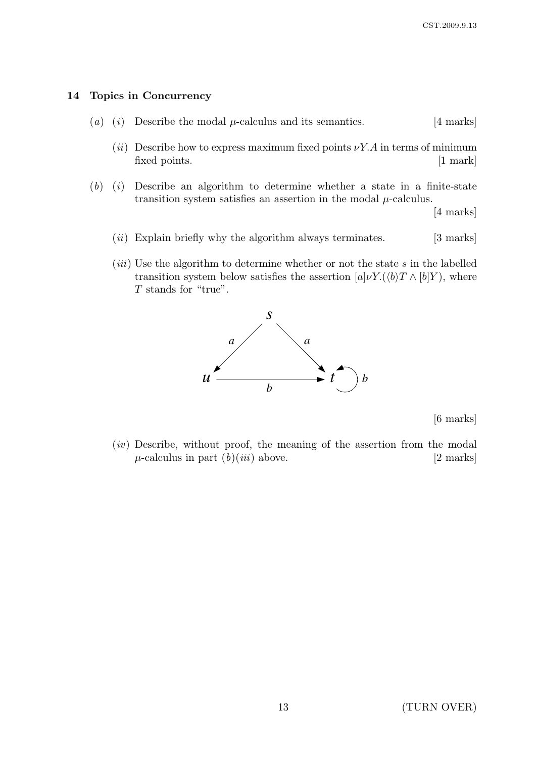### 14 Topics in Concurrency

- (a) (i) Describe the modal  $\mu$ -calculus and its semantics. [4 marks]
	- (ii) Describe how to express maximum fixed points  $\nu Y.A$  in terms of minimum fixed points. [1 mark]
- $(b)$  (i) Describe an algorithm to determine whether a state in a finite-state transition system satisfies an assertion in the modal  $\mu$ -calculus.

[4 marks]

- $(ii)$  Explain briefly why the algorithm always terminates. [3 marks]
- (*iii*) Use the algorithm to determine whether or not the state  $s$  in the labelled transition system below satisfies the assertion  $[a]\nu Y.(\langle b\rangle T \wedge [b]Y)$ , where T stands for "true".



[6 marks]

(iv) Describe, without proof, the meaning of the assertion from the modal  $\mu$ -calculus in part  $(b)(iii)$  above. [2 marks]